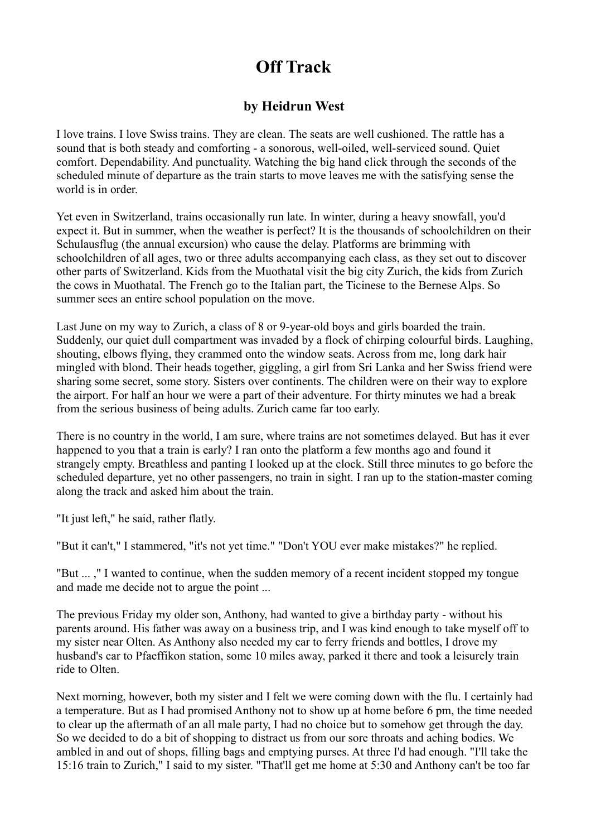## **Off Track**

## **by Heidrun West**

I love trains. I love Swiss trains. They are clean. The seats are well cushioned. The rattle has a sound that is both steady and comforting - a sonorous, well-oiled, well-serviced sound. Quiet comfort. Dependability. And punctuality. Watching the big hand click through the seconds of the scheduled minute of departure as the train starts to move leaves me with the satisfying sense the world is in order.

Yet even in Switzerland, trains occasionally run late. In winter, during a heavy snowfall, you'd expect it. But in summer, when the weather is perfect? It is the thousands of schoolchildren on their Schulausflug (the annual excursion) who cause the delay. Platforms are brimming with schoolchildren of all ages, two or three adults accompanying each class, as they set out to discover other parts of Switzerland. Kids from the Muothatal visit the big city Zurich, the kids from Zurich the cows in Muothatal. The French go to the Italian part, the Ticinese to the Bernese Alps. So summer sees an entire school population on the move.

Last June on my way to Zurich, a class of 8 or 9-year-old boys and girls boarded the train. Suddenly, our quiet dull compartment was invaded by a flock of chirping colourful birds. Laughing, shouting, elbows flying, they crammed onto the window seats. Across from me, long dark hair mingled with blond. Their heads together, giggling, a girl from Sri Lanka and her Swiss friend were sharing some secret, some story. Sisters over continents. The children were on their way to explore the airport. For half an hour we were a part of their adventure. For thirty minutes we had a break from the serious business of being adults. Zurich came far too early.

There is no country in the world, I am sure, where trains are not sometimes delayed. But has it ever happened to you that a train is early? I ran onto the platform a few months ago and found it strangely empty. Breathless and panting I looked up at the clock. Still three minutes to go before the scheduled departure, yet no other passengers, no train in sight. I ran up to the station-master coming along the track and asked him about the train.

"It just left," he said, rather flatly.

"But it can't," I stammered, "it's not yet time." "Don't YOU ever make mistakes?" he replied.

"But ... ," I wanted to continue, when the sudden memory of a recent incident stopped my tongue and made me decide not to argue the point ...

The previous Friday my older son, Anthony, had wanted to give a birthday party - without his parents around. His father was away on a business trip, and I was kind enough to take myself off to my sister near Olten. As Anthony also needed my car to ferry friends and bottles, I drove my husband's car to Pfaeffikon station, some 10 miles away, parked it there and took a leisurely train ride to Olten.

Next morning, however, both my sister and I felt we were coming down with the flu. I certainly had a temperature. But as I had promised Anthony not to show up at home before 6 pm, the time needed to clear up the aftermath of an all male party, I had no choice but to somehow get through the day. So we decided to do a bit of shopping to distract us from our sore throats and aching bodies. We ambled in and out of shops, filling bags and emptying purses. At three I'd had enough. "I'll take the 15:16 train to Zurich," I said to my sister. "That'll get me home at 5:30 and Anthony can't be too far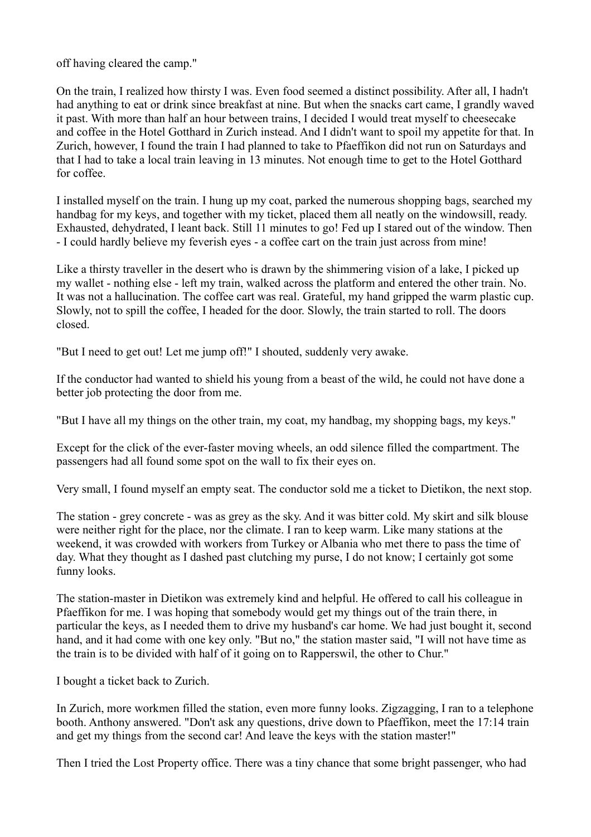off having cleared the camp."

On the train, I realized how thirsty I was. Even food seemed a distinct possibility. After all, I hadn't had anything to eat or drink since breakfast at nine. But when the snacks cart came, I grandly waved it past. With more than half an hour between trains, I decided I would treat myself to cheesecake and coffee in the Hotel Gotthard in Zurich instead. And I didn't want to spoil my appetite for that. In Zurich, however, I found the train I had planned to take to Pfaeffikon did not run on Saturdays and that I had to take a local train leaving in 13 minutes. Not enough time to get to the Hotel Gotthard for coffee.

I installed myself on the train. I hung up my coat, parked the numerous shopping bags, searched my handbag for my keys, and together with my ticket, placed them all neatly on the windowsill, ready. Exhausted, dehydrated, I leant back. Still 11 minutes to go! Fed up I stared out of the window. Then - I could hardly believe my feverish eyes - a coffee cart on the train just across from mine!

Like a thirsty traveller in the desert who is drawn by the shimmering vision of a lake, I picked up my wallet - nothing else - left my train, walked across the platform and entered the other train. No. It was not a hallucination. The coffee cart was real. Grateful, my hand gripped the warm plastic cup. Slowly, not to spill the coffee, I headed for the door. Slowly, the train started to roll. The doors closed.

"But I need to get out! Let me jump off!" I shouted, suddenly very awake.

If the conductor had wanted to shield his young from a beast of the wild, he could not have done a better job protecting the door from me.

"But I have all my things on the other train, my coat, my handbag, my shopping bags, my keys."

Except for the click of the ever-faster moving wheels, an odd silence filled the compartment. The passengers had all found some spot on the wall to fix their eyes on.

Very small, I found myself an empty seat. The conductor sold me a ticket to Dietikon, the next stop.

The station - grey concrete - was as grey as the sky. And it was bitter cold. My skirt and silk blouse were neither right for the place, nor the climate. I ran to keep warm. Like many stations at the weekend, it was crowded with workers from Turkey or Albania who met there to pass the time of day. What they thought as I dashed past clutching my purse, I do not know; I certainly got some funny looks.

The station-master in Dietikon was extremely kind and helpful. He offered to call his colleague in Pfaeffikon for me. I was hoping that somebody would get my things out of the train there, in particular the keys, as I needed them to drive my husband's car home. We had just bought it, second hand, and it had come with one key only. "But no," the station master said, "I will not have time as the train is to be divided with half of it going on to Rapperswil, the other to Chur."

I bought a ticket back to Zurich.

In Zurich, more workmen filled the station, even more funny looks. Zigzagging, I ran to a telephone booth. Anthony answered. "Don't ask any questions, drive down to Pfaeffikon, meet the 17:14 train and get my things from the second car! And leave the keys with the station master!"

Then I tried the Lost Property office. There was a tiny chance that some bright passenger, who had